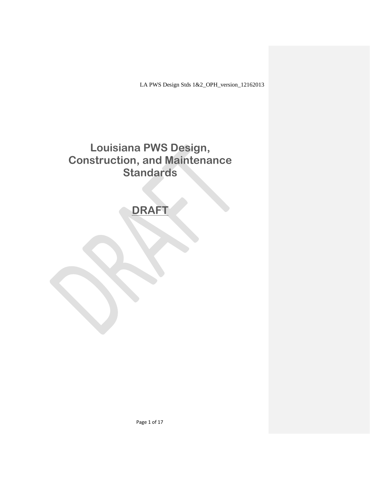LA PWS Design Stds 1&2\_OPH\_version\_12162013

# **Louisiana PWS Design, Construction, and Maintenance Standards**

# **DRAFT**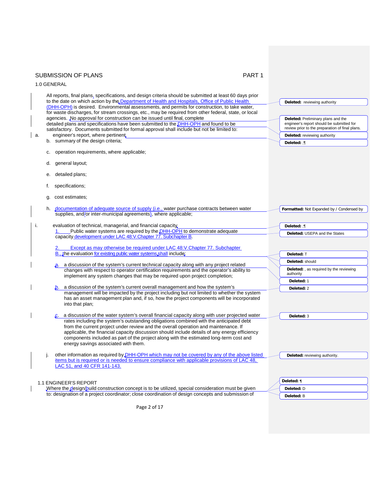|    | <b>SUBMISSION OF PLANS</b><br>PART <sub>1</sub>                                                                                                                                                                                                                                                                                                                                                                                                                                                                    |                                                                                                                                                                    |
|----|--------------------------------------------------------------------------------------------------------------------------------------------------------------------------------------------------------------------------------------------------------------------------------------------------------------------------------------------------------------------------------------------------------------------------------------------------------------------------------------------------------------------|--------------------------------------------------------------------------------------------------------------------------------------------------------------------|
|    | 1.0 GENERAL                                                                                                                                                                                                                                                                                                                                                                                                                                                                                                        |                                                                                                                                                                    |
|    | All reports, final plans, specifications, and design criteria should be submitted at least 60 days prior<br>to the date on which action by the Department of Health and Hospitals, Office of Public Health<br>(DHH-OPH) is desired. Environmental assessments, and permits for construction, to take water,<br>for waste discharges, for stream crossings, etc., may be required from other federal, state, or local                                                                                               | Deleted: reviewing authority                                                                                                                                       |
| а. | agencies. No approval for construction can be issued until final, complete<br>detailed plans and specifications have been submitted to the DHH-OPH and found to be<br>satisfactory. Documents submitted for formal approval shall include but not be limited to:<br>engineer's report, where pertinent                                                                                                                                                                                                             | Deleted: Preliminary plans and the<br>engineer's report should be submitted for<br>review prior to the preparation of final plans.<br>Deleted: reviewing authority |
|    | b. summary of the design criteria;                                                                                                                                                                                                                                                                                                                                                                                                                                                                                 | Deleted: :¶                                                                                                                                                        |
|    | operation requirements, where applicable;<br>c.                                                                                                                                                                                                                                                                                                                                                                                                                                                                    |                                                                                                                                                                    |
|    | general layout;<br>d.                                                                                                                                                                                                                                                                                                                                                                                                                                                                                              |                                                                                                                                                                    |
|    | detailed plans;<br>е.                                                                                                                                                                                                                                                                                                                                                                                                                                                                                              |                                                                                                                                                                    |
|    | specifications;<br>t.                                                                                                                                                                                                                                                                                                                                                                                                                                                                                              |                                                                                                                                                                    |
|    | cost estimates;<br>g.                                                                                                                                                                                                                                                                                                                                                                                                                                                                                              |                                                                                                                                                                    |
|    | documentation of adequate source of supply <i>(i.e., water purchase contracts between water</i><br>h.<br>supplies, and/or inter-municipal agreements), where applicable;                                                                                                                                                                                                                                                                                                                                           | Formatted: Not Expanded by / Condensed by                                                                                                                          |
| i. | evaluation of technical, managerial, and financial capacity,                                                                                                                                                                                                                                                                                                                                                                                                                                                       | Deleted: ;¶                                                                                                                                                        |
|    | Public water systems are required by the <b>DHH-OPH</b> to demonstrate adequate<br>capacity development under LAC 48: V. Chapter 77. Subchapter B.                                                                                                                                                                                                                                                                                                                                                                 | Deleted: USEPA and the States                                                                                                                                      |
|    |                                                                                                                                                                                                                                                                                                                                                                                                                                                                                                                    |                                                                                                                                                                    |
|    | Except as may otherwise be required under LAC 48: V. Chapter 77. Subchapter<br>2.<br>B., the evaluation for existing public water systems shall include;                                                                                                                                                                                                                                                                                                                                                           | Deleted: T                                                                                                                                                         |
|    |                                                                                                                                                                                                                                                                                                                                                                                                                                                                                                                    | Deleted: should                                                                                                                                                    |
|    | a. a discussion of the system's current technical capacity along with any project related<br>changes with respect to operator certification requirements and the operator's ability to<br>implement any system changes that may be required upon project completion;                                                                                                                                                                                                                                               | Deleted: , as required by the reviewing<br>authority                                                                                                               |
|    |                                                                                                                                                                                                                                                                                                                                                                                                                                                                                                                    | Deleted: 1                                                                                                                                                         |
|    | a discussion of the system's current overall management and how the system's<br>management will be impacted by the project including but not limited to whether the system                                                                                                                                                                                                                                                                                                                                         | Deleted: 2                                                                                                                                                         |
|    | has an asset management plan and, if so, how the project components will be incorporated<br>into that plan;                                                                                                                                                                                                                                                                                                                                                                                                        |                                                                                                                                                                    |
|    | a discussion of the water system's overall financial capacity along with user projected water<br>rates including the system's outstanding obligations combined with the anticipated debt<br>from the current project under review and the overall operation and maintenance. If<br>applicable, the financial capacity discussion should include details of any energy efficiency<br>components included as part of the project along with the estimated long-term cost and<br>energy savings associated with them. | Deleted: 3                                                                                                                                                         |
|    | other information as required by DHH-OPH which may not be covered by any of the above listed<br>j.                                                                                                                                                                                                                                                                                                                                                                                                                 | Deleted: reviewing authority.                                                                                                                                      |
|    | items but is required or is needed to ensure compliance with applicable provisions of LAC 48,<br>LAC 51, and 40 CFR 141-143.                                                                                                                                                                                                                                                                                                                                                                                       |                                                                                                                                                                    |
|    |                                                                                                                                                                                                                                                                                                                                                                                                                                                                                                                    | Deleted: ¶                                                                                                                                                         |
|    | <b>1.1 ENGINEER'S REPORT</b><br>Where the design/build construction concept is to be utilized, special consideration must be given                                                                                                                                                                                                                                                                                                                                                                                 | Deleted: D                                                                                                                                                         |
|    | to: designation of a project coordinator; close coordination of design concepts and submission of                                                                                                                                                                                                                                                                                                                                                                                                                  | Deleted: B                                                                                                                                                         |
|    |                                                                                                                                                                                                                                                                                                                                                                                                                                                                                                                    |                                                                                                                                                                    |
|    | Page 2 of 17                                                                                                                                                                                                                                                                                                                                                                                                                                                                                                       |                                                                                                                                                                    |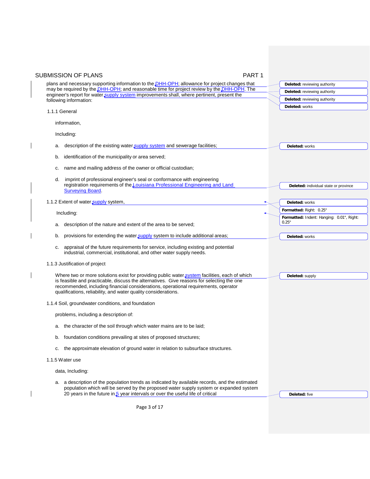| <b>SUBMISSION OF PLANS</b><br>PART <sub>1</sub>                                                                                                                                                                                                    |                                                    |
|----------------------------------------------------------------------------------------------------------------------------------------------------------------------------------------------------------------------------------------------------|----------------------------------------------------|
| plans and necessary supporting information to the <b>DHH-OPH</b> ; allowance for project changes that                                                                                                                                              | Deleted: reviewing authority                       |
| may be required by the <i>DHH-OPH</i> ; and reasonable time for project review by the <i>DHH-OPH</i> . The<br>engineer's report for water supply system improvements shall, where pertinent, present the                                           | Deleted: reviewing authority                       |
| following information:                                                                                                                                                                                                                             | Deleted: reviewing authority                       |
| 1.1.1 General                                                                                                                                                                                                                                      | Deleted: works                                     |
| information,                                                                                                                                                                                                                                       |                                                    |
| Including:                                                                                                                                                                                                                                         |                                                    |
| description of the existing water supply system and sewerage facilities;<br>а.                                                                                                                                                                     | Deleted: works                                     |
| identification of the municipality or area served;<br>b.                                                                                                                                                                                           |                                                    |
| name and mailing address of the owner or official custodian;<br>c.                                                                                                                                                                                 |                                                    |
| imprint of professional engineer's seal or conformance with engineering<br>d.<br>registration requirements of the <b>Louisiana Professional Engineering and Land</b>                                                                               |                                                    |
| <b>Surveying Board.</b>                                                                                                                                                                                                                            | Deleted: individual state or province              |
| 1.1.2 Extent of water supply system,                                                                                                                                                                                                               | Deleted: works                                     |
| Including:                                                                                                                                                                                                                                         | Formatted: Right: 0.25"                            |
| description of the nature and extent of the area to be served;<br>a.                                                                                                                                                                               | Formatted: Indent: Hanging: 0.01", Right:<br>0.25" |
|                                                                                                                                                                                                                                                    |                                                    |
| provisions for extending the water supply system to include additional areas;<br>b.                                                                                                                                                                | Deleted: works                                     |
| appraisal of the future requirements for service, including existing and potential<br>c.<br>industrial, commercial, institutional, and other water supply needs.                                                                                   |                                                    |
| 1.1.3 Justification of project                                                                                                                                                                                                                     |                                                    |
| Where two or more solutions exist for providing public water system facilities, each of which                                                                                                                                                      | Deleted: supply                                    |
| is feasible and practicable, discuss the alternatives. Give reasons for selecting the one<br>recommended, including financial considerations, operational requirements, operator<br>qualifications, reliability, and water quality considerations. |                                                    |
| 1.1.4 Soil, groundwater conditions, and foundation                                                                                                                                                                                                 |                                                    |
| problems, including a description of:                                                                                                                                                                                                              |                                                    |
| a. the character of the soil through which water mains are to be laid;                                                                                                                                                                             |                                                    |
| foundation conditions prevailing at sites of proposed structures;<br>b.                                                                                                                                                                            |                                                    |
| the approximate elevation of ground water in relation to subsurface structures.<br>с.                                                                                                                                                              |                                                    |
| 1.1.5 Water use                                                                                                                                                                                                                                    |                                                    |
| data, Including:                                                                                                                                                                                                                                   |                                                    |
| a. a description of the population trends as indicated by available records, and the estimated<br>population which will be served by the proposed water supply system or expanded system                                                           |                                                    |
| 20 years in the future in $5$ year intervals or over the useful life of critical                                                                                                                                                                   | Deleted: five                                      |

Page 3 of 17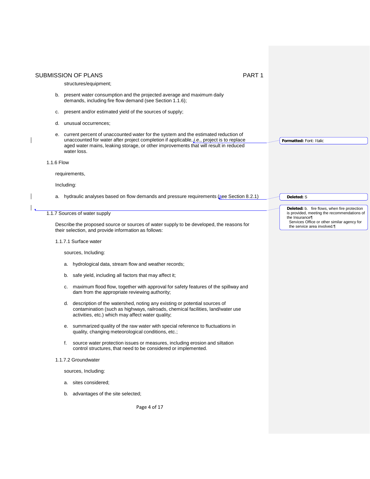# structures/equipment;

- b. present water consumption and the projected average and maximum daily demands, including fire flow demand (see Section 1.1.6);
- c. present and/or estimated yield of the sources of supply;
- d. unusual occurrences;
- e. current percent of unaccounted water for the system and the estimated reduction of unaccounted for water after project completion if applicable, *i.e.*, project is to replace aged water mains, leaking storage, or other improvements that will result in reduced water loss.

### 1.1.6 Flow

requirements,

#### Including:

a. hydraulic analyses based on flow demands and pressure requirements (see Section 8.2.1)

# 1.1.7 Sources of water supply

Describe the proposed source or sources of water supply to be developed, the reasons for their selection, and provide information as follows:

1.1.7.1 Surface water

sources, Including:

- a. hydrological data, stream flow and weather records;
- b. safe yield, including all factors that may affect it;
- c. maximum flood flow, together with approval for safety features of the spillway and dam from the appropriate reviewing authority;
- d. description of the watershed, noting any existing or potential sources of contamination (such as highways, railroads, chemical facilities, land/water use activities, etc.) which may affect water quality;
- e. summarized quality of the raw water with special reference to fluctuations in quality, changing meteorological conditions, etc.;
- f. source water protection issues or measures, including erosion and siltation control structures, that need to be considered or implemented.
- 1.1.7.2 Groundwater

sources, Including:

- a. sites considered;
- b. advantages of the site selected;

Page 4 of 17

**Deleted:** b. fire flows, when fire protection is provided, meeting the recommendations of the Insurance¶

**Formatted:** Font: Italic

**Deleted:** S

Services Office or other similar agency for the service area involved.¶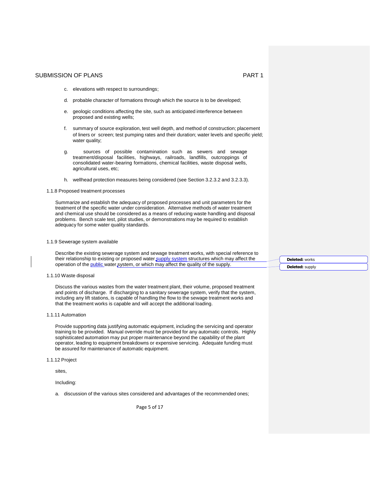- c. elevations with respect to surroundings;
- d. probable character of formations through which the source is to be developed;
- e. geologic conditions affecting the site, such as anticipated interference between proposed and existing wells;
- f. summary of source exploration, test well depth, and method of construction; placement of liners or screen; test pumping rates and their duration; water levels and specific yield; water quality;
- g. sources of possible contamination such as sewers and sewage treatment/disposal facilities, highways, railroads, landfills, outcroppings of consolidated water-bearing formations, chemical facilities, waste disposal wells, agricultural uses, etc;
- h. wellhead protection measures being considered (see Section 3.2.3.2 and 3.2.3.3).

#### 1.1.8 Proposed treatment processes

Summarize and establish the adequacy of proposed processes and unit parameters for the treatment of the specific water under consideration. Alternative methods of water treatment and chemical use should be considered as a means of reducing waste handling and disposal problems. Bench scale test, pilot studies, or demonstrations may be required to establish adequacy for some water quality standards.

#### 1.1.9 Sewerage system available

Describe the existing sewerage system and sewage treatment works, with special reference to their relationship to existing or proposed water supply system structures which may affect the operation of the public water system, or which may affect the quality of the supply.

1.1.10 Waste disposal

Discuss the various wastes from the water treatment plant, their volume, proposed treatment and points of discharge. If discharging to a sanitary sewerage system, verify that the system, including any lift stations, is capable of handling the flow to the sewage treatment works and that the treatment works is capable and will accept the additional loading.

1.1.11 Automation

Provide supporting data justifying automatic equipment, including the servicing and operator training to be provided. Manual override must be provided for any automatic controls. Highly sophisticated automation may put proper maintenance beyond the capability of the plant operator, leading to equipment breakdowns or expensive servicing. Adequate funding must be assured for maintenance of automatic equipment.

1.1.12 Project

sites,

Including:

a. discussion of the various sites considered and advantages of the recommended ones;

Page 5 of 17

**Deleted:** works **Deleted:** supply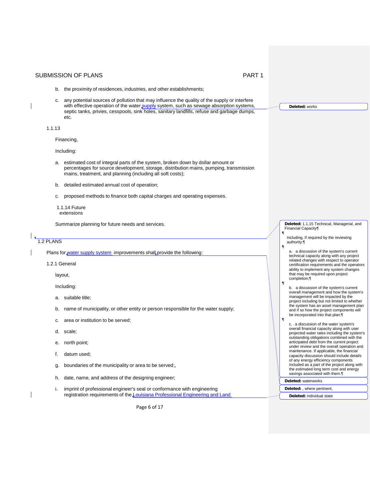- b. the proximity of residences, industries, and other establishments;
- c. any potential sources of pollution that may influence the quality of the supply or interfere with effective operation of the water supply system, such as sewage absorption systems, septic tanks, privies, cesspools, sink holes, sanitary landfills, refuse and garbage dumps, etc.

1.1.13

Financing,

Including:

- a. estimated cost of integral parts of the system, broken down by dollar amount or percentages for source development, storage, distribution mains, pumping, transmission mains, treatment, and planning (including all soft costs);
- b. detailed estimated annual cost of operation;
- c. proposed methods to finance both capital charges and operating expenses.
- 1.1.14 Future extensions

Summarize planning for future needs and services.

1.2 PLANS

Plans for water supply system improvements shall provide the following:

1.2.1 General

layout,

Including:

- a. suitable title;
- b. name of municipality, or other entity or person responsible for the water supply;
- c. area or institution to be served;
- d. scale;
- e. north point;
- f. datum used;
- g. boundaries of the municipality or area to be served;,
- h. date, name, and address of the designing engineer;
- i. imprint of professional engineer's seal or conformance with engineering registration requirements of the *Louisiana Professional Engineering and Land*

Page 6 of 17

**Deleted:** 1.1.15 Technical, Managerial, and Financial Capacity¶ ¶

Including, if required by the reviewing authority:¶ ¶

**Deleted:** works

- a. a discussion of the system's current technical capacity along with any project related changes with respect to operator certification requirements and the operators ability to implement any system changes that may be required upon project completion;¶
- b. a discussion of the system's current overall management and how the system's management will be impacted by the project including but not limited to whether the system has an asset management plan and if so how the project components will be incorporated into that plan;¶
- c. a discussion of the water system's overall financial capacity along with user projected water rates including the system's outstanding obligations combined with the anticipated debt from the current project under review and the overall operation and maintenance. If applicable, the financial capacity discussion should include details of any energy efficiency components included as a part of the project along with the estimated long term cost and energy savings associated with them.¶
- **Deleted:** waterworks

¶

¶

- **Deleted:** , where pertinent,
- **Deleted:** individual state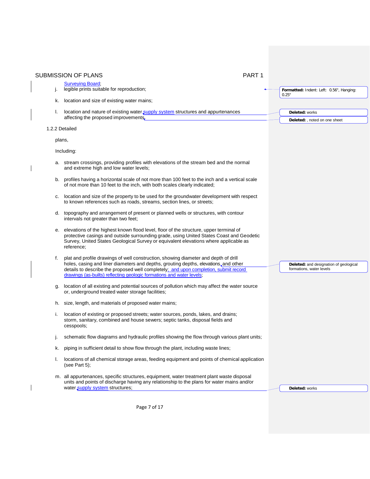|                | <b>SUBMISSION OF PLANS</b><br>PART <sub>1</sub>                                                                                                                                                                                                                                                                                              |                                                                    |
|----------------|----------------------------------------------------------------------------------------------------------------------------------------------------------------------------------------------------------------------------------------------------------------------------------------------------------------------------------------------|--------------------------------------------------------------------|
|                | <b>Surveving Board:</b>                                                                                                                                                                                                                                                                                                                      |                                                                    |
| j.             | legible prints suitable for reproduction;                                                                                                                                                                                                                                                                                                    | Formatted: Indent: Left: 0.56", Hanging:<br>0.25"                  |
|                | k. location and size of existing water mains;                                                                                                                                                                                                                                                                                                |                                                                    |
| I.             | location and nature of existing water supply system structures and appurtenances                                                                                                                                                                                                                                                             | Deleted: works                                                     |
|                | affecting the proposed improvements.                                                                                                                                                                                                                                                                                                         | Deleted: , noted on one sheet                                      |
| 1.2.2 Detailed |                                                                                                                                                                                                                                                                                                                                              |                                                                    |
| plans,         |                                                                                                                                                                                                                                                                                                                                              |                                                                    |
|                | Including:                                                                                                                                                                                                                                                                                                                                   |                                                                    |
|                | a. stream crossings, providing profiles with elevations of the stream bed and the normal<br>and extreme high and low water levels;                                                                                                                                                                                                           |                                                                    |
|                | b. profiles having a horizontal scale of not more than 100 feet to the inch and a vertical scale<br>of not more than 10 feet to the inch, with both scales clearly indicated;                                                                                                                                                                |                                                                    |
|                | location and size of the property to be used for the groundwater development with respect<br>to known references such as roads, streams, section lines, or streets;                                                                                                                                                                          |                                                                    |
|                | d. topography and arrangement of present or planned wells or structures, with contour<br>intervals not greater than two feet;                                                                                                                                                                                                                |                                                                    |
|                | e. elevations of the highest known flood level, floor of the structure, upper terminal of<br>protective casings and outside surrounding grade, using United States Coast and Geodetic<br>Survey, United States Geological Survey or equivalent elevations where applicable as<br>reference;                                                  |                                                                    |
| f.             | plat and profile drawings of well construction, showing diameter and depth of drill<br>holes, casing and liner diameters and depths, grouting depths, elevations, and other<br>details to describe the proposed well completely; and upon completion, submit record<br>drawings (as-builts) reflecting geologic formations and water levels; | Deleted: and designation of geological<br>formations, water levels |
| g.             | location of all existing and potential sources of pollution which may affect the water source<br>or, underground treated water storage facilities;                                                                                                                                                                                           |                                                                    |
|                | h. size, length, and materials of proposed water mains;                                                                                                                                                                                                                                                                                      |                                                                    |
| i.             | location of existing or proposed streets; water sources, ponds, lakes, and drains;<br>storm, sanitary, combined and house sewers; septic tanks, disposal fields and<br>cesspools;                                                                                                                                                            |                                                                    |
| J.             | schematic flow diagrams and hydraulic profiles showing the flow through various plant units;                                                                                                                                                                                                                                                 |                                                                    |
| k.             | piping in sufficient detail to show flow through the plant, including waste lines;                                                                                                                                                                                                                                                           |                                                                    |
| I.             | locations of all chemical storage areas, feeding equipment and points of chemical application<br>(see Part $5$ );                                                                                                                                                                                                                            |                                                                    |
|                | m. all appurtenances, specific structures, equipment, water treatment plant waste disposal<br>units and points of discharge having any relationship to the plans for water mains and/or<br>water supply system structures;                                                                                                                   | Deleted: works                                                     |

Page 7 of 17

 $\overline{\phantom{a}}$ 

 $\overline{\phantom{a}}$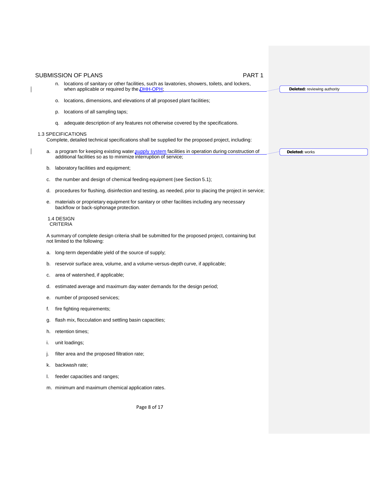| PART <sub>1</sub><br><b>SUBMISSION OF PLANS</b>                                                                                                                          |                              |
|--------------------------------------------------------------------------------------------------------------------------------------------------------------------------|------------------------------|
| n. locations of sanitary or other facilities, such as lavatories, showers, toilets, and lockers,<br>when applicable or required by the DHH-OPH.                          | Deleted: reviewing authority |
| locations, dimensions, and elevations of all proposed plant facilities;<br>о.                                                                                            |                              |
| locations of all sampling taps;<br>p.                                                                                                                                    |                              |
| adequate description of any features not otherwise covered by the specifications.<br>q.                                                                                  |                              |
| 1.3 SPECIFICATIONS<br>Complete, detailed technical specifications shall be supplied for the proposed project, including:                                                 |                              |
| a. a program for keeping existing water supply system facilities in operation during construction of<br>additional facilities so as to minimize interruption of service; | Deleted: works               |
| laboratory facilities and equipment;<br>b.                                                                                                                               |                              |
| the number and design of chemical feeding equipment (see Section 5.1);<br>c.                                                                                             |                              |
| procedures for flushing, disinfection and testing, as needed, prior to placing the project in service;<br>d.                                                             |                              |
| materials or proprietary equipment for sanitary or other facilities including any necessary<br>е.<br>backflow or back-siphonage protection.                              |                              |
| 1.4 DESIGN<br><b>CRITERIA</b>                                                                                                                                            |                              |
| A summary of complete design criteria shall be submitted for the proposed project, containing but<br>not limited to the following:                                       |                              |
| long-term dependable yield of the source of supply;<br>a.                                                                                                                |                              |
| reservoir surface area, volume, and a volume-versus-depth curve, if applicable;<br>b.                                                                                    |                              |
| area of watershed, if applicable;<br>c.                                                                                                                                  |                              |
| estimated average and maximum day water demands for the design period;<br>d.                                                                                             |                              |
| number of proposed services;<br>е.                                                                                                                                       |                              |
| fire fighting requirements;<br>t.                                                                                                                                        |                              |
| flash mix, flocculation and settling basin capacities;<br>g.                                                                                                             |                              |
| h. retention times;                                                                                                                                                      |                              |
| unit loadings;<br>ı.                                                                                                                                                     |                              |
| filter area and the proposed filtration rate;<br>J.                                                                                                                      |                              |
| backwash rate;<br>k.                                                                                                                                                     |                              |
| feeder capacities and ranges;                                                                                                                                            |                              |
| m. minimum and maximum chemical application rates.                                                                                                                       |                              |
| Page 8 of 17                                                                                                                                                             |                              |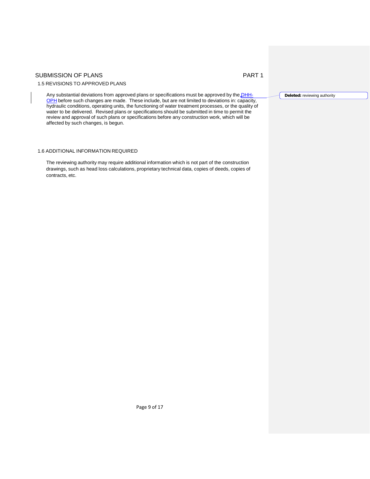# 1.5 REVISIONS TO APPROVED PLANS

Any substantial deviations from approved plans or specifications must be approved by the DHH-OPH before such changes are made. These include, but are not limited to deviations in: capacity, hydraulic conditions, operating units, the functioning of water treatment processes, or the quality of water to be delivered. Revised plans or specifications should be submitted in time to permit the review and approval of such plans or specifications before any construction work, which will be affected by such changes, is begun.

# 1.6 ADDITIONAL INFORMATION REQUIRED

The reviewing authority may require additional information which is not part of the construction drawings, such as head loss calculations, proprietary technical data, copies of deeds, copies of contracts, etc.

**Deleted:** reviewing authority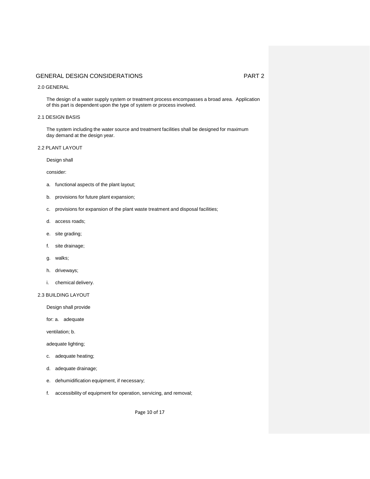### 2.0 GENERAL

The design of a water supply system or treatment process encompasses a broad area. Application of this part is dependent upon the type of system or process involved.

# 2.1 DESIGN BASIS

The system including the water source and treatment facilities shall be designed for maximum day demand at the design year.

# 2.2 PLANT LAYOUT

Design shall

consider:

- a. functional aspects of the plant layout;
- b. provisions for future plant expansion;
- c. provisions for expansion of the plant waste treatment and disposal facilities;
- d. access roads;
- e. site grading;
- f. site drainage;
- g. walks;
- h. driveways;
- i. chemical delivery.

# 2.3 BUILDING LAYOUT

Design shall provide

for: a. adequate

ventilation; b.

adequate lighting;

- c. adequate heating;
- d. adequate drainage;
- e. dehumidification equipment, if necessary;
- f. accessibility of equipment for operation, servicing, and removal;

Page 10 of 17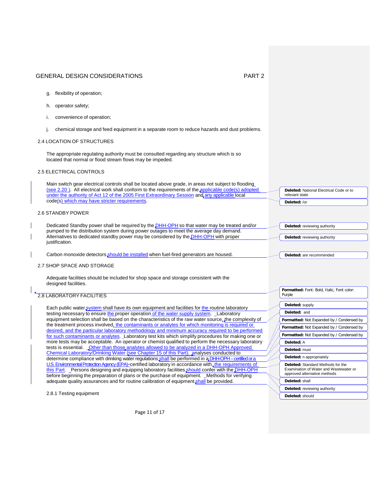**Deleted:** National Electrical Code or to

**Deleted:** are recommended

**Formatted:** Font: Bold, Italic, Font color:

**Formatted:** Not Expanded by / Condensed by **Formatted:** Not Expanded by / Condensed by **Formatted:** Not Expanded by / Condensed by

relevant state **Deleted:** /or

Purple

**Deleted:** supply **Deleted:** and

**Deleted:** A **Deleted:** must **Deleted:** n appropriately **Deleted:** Standard Methods for the Examination of Water and Wastewater or approved alternative methods

**Deleted:** shall

**Deleted:** should

**Deleted:** reviewing authority

- g. flexibility of operation;
- h. operator safety;
- i. convenience of operation;
- j. chemical storage and feed equipment in a separate room to reduce hazards and dust problems.

### 2.4 LOCATION OF STRUCTURES

The appropriate regulating authority must be consulted regarding any structure which is so located that normal or flood stream flows may be impeded.

# 2.5 ELECTRICAL CONTROLS

Main switch gear electrical controls shall be located above grade, in areas not subject to flooding (see 2.20). All electrical work shall conform to the requirements of the applicable code(s) adopted under the authority of Act 12 of the 2005 First Extraordinary Session and any applicable local code(s) which may have stricter requirements.

# 2.6 STANDBY POWER

| Dedicated Standby power shall be required by the DHH-OPH so that water may be treated and/or | Deleted: reviewing authority        |
|----------------------------------------------------------------------------------------------|-------------------------------------|
| pumped to the distribution system during power outages to meet the average day demand.       |                                     |
| Alternatives to dedicated standby power may be considered by the DHH-OPH with proper         | <b>Deleted:</b> reviewing authority |
| iustification.                                                                               |                                     |

Carbon monoxide detectors should be installed when fuel-fired generators are housed.

### 2.7 SHOP SPACE AND STORAGE

Adequate facilities should be included for shop space and storage consistent with the designed facilities.

### 2.8 LABORATORY FACILITIES

Each public water system shall have its own equipment and facilities for the routine laboratory testing necessary to ensure the proper operation of the water supply system. Laboratory equipment selection shall be based on the characteristics of the raw water source, the complexity of the treatment process involved, the contaminants or analytes for which monitoring is required or desired, and the particular laboratory methodology and minimum accuracy required to be performed for such contaminants or analytes. Laboratory test kits which simplify procedures for making one or more tests may be acceptable. An operator or chemist qualified to perform the necessary laboratory tests is essential. **Other than those analytes allowed to be analyzed in a DHH-OPH Approved** Chemical Laboratory/Drinking Water (see Chapter 15 of this Part), analyses conducted to determine compliance with drinking water regulations shall be performed in a DHH-OPH – certified or a U.S. Environmental Protection Agency (EPA)−certified laboratory in accordance with, the requirements of this Part. Persons designing and equipping laboratory facilities should confer with the DHH-OPH before beginning the preparation of plans or the purchase of equipment. Methods for verifying adequate quality assurances and for routine calibration of equipment shall be provided.

2.8.1 Testing equipment

Page 11 of 17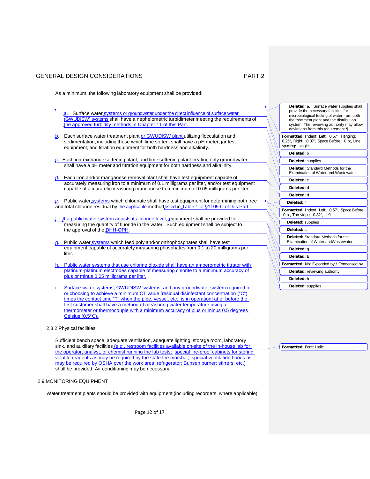As a minimum, the following laboratory equipment shall be provided:

- Surface water systems or groundwater under the direct influence of surface water (GWUDISW) systems shall have a nephelometric turbidimeter meeting the requirements of the approved turbidity methods in Chapter 11 of this Part.
- b. Each surface water treatment plant or GWUDISW plant utilizing flocculation and sedimentation, including those which lime soften, shall have a pH meter, jar test equipment, and titration equipment for both hardness and alkalinity.
- c. Each ion-exchange softening plant, and lime softening plant treating only groundwater shall have a pH meter and titration equipment for both hardness and alkalinity.
- $\mathfrak{a}$ . Each iron and/or manganese removal plant shall have test equipment capable of accurately measuring iron to a minimum of 0.1 milligrams per liter, and/or test equipment capable of accurately measuring manganese to a minimum of 0.05 milligrams per liter.
- Public water systems which chlorinate shall have test equipment for determining both free and total chlorine residual by the applicable method listed in Table 1 of §1105.C of this Part.
- If a public water system adjusts its fluoride level, equipment shall be provided for measuring the quantity of fluoride in the water. Such equipment shall be subject to the approval of the **DHH-OPH**.
- Public water systems which feed poly and/or orthophosphates shall have test equipment capable of accurately measuring phosphates from 0.1 to 20 milligrams per liter.
- h. Public water systems that use chlorine dioxide shall have an amperometric titrator with platinum-platinum electrodes capable of measuring chlorite to a minimum accuracy of plus or minus 0.05 milligrams per liter.
- Surface water systems, GWUDISW systems, and any groundwater system required to or choosing to achieve a minimum CT value [residual disinfectant concentration ("C") times the contact time "T" when the pipe, vessel, etc., is in operation] at or before the first customer shall have a method of measuring water temperature using a thermometer or thermocouple with a minimum accuracy of plus or minus 0.5 degrees Celsius (0.5°C).
- 2.8.2 Physical facilities

Sufficient bench space, adequate ventilation, adequate lighting, storage room, laboratory sink, and auxiliary facilities (*e.g.*, restroom facilities available on-site of the in-house lab for the operator, analyst, or chemist running the lab tests; special fire-proof cabinets for storing volatile reagents as may be required by the state fire marshal; special ventilation hoods as may be required by OSHA over the work area; refrigerator; Bunsen burner; stirrers; etc.) shall be provided. Air conditioning may be necessary.

### 2.9 MONITORING EQUIPMENT

Water treatment plants should be provided with equipment (including recorders, where applicable)

Page 12 of 17

| Deleted: a. Surface water supplies shall<br>provide the necessary facilities for<br>microbiological testing of water from both<br>the treatment plant and the distribution<br>system. The reviewing authority may allow<br>deviations from this requirement. |
|--------------------------------------------------------------------------------------------------------------------------------------------------------------------------------------------------------------------------------------------------------------|
| Formatted: Indent: Left: 0.57", Hanging:<br>0.25", Right: 0.07", Space Before: 0 pt, Line<br>spacing: single                                                                                                                                                 |
| Deleted: b                                                                                                                                                                                                                                                   |
| Deleted: supplies                                                                                                                                                                                                                                            |
| Deleted: Standard Methods for the<br>Examination of Water and Wastewater                                                                                                                                                                                     |
| Deleted: c                                                                                                                                                                                                                                                   |
| Deleted: d                                                                                                                                                                                                                                                   |
| Deleted: d                                                                                                                                                                                                                                                   |
| Deleted: f                                                                                                                                                                                                                                                   |
| Formatted: Indent: Left: 0.57", Space Before:<br>0 pt, Tab stops: 0.82", Left                                                                                                                                                                                |
| Deleted: supplies                                                                                                                                                                                                                                            |
| Deleted: s                                                                                                                                                                                                                                                   |
| Deleted: Standard Methods for the<br>Examination of Water andWastewater                                                                                                                                                                                      |
| Deleted: q                                                                                                                                                                                                                                                   |
| Deleted: E                                                                                                                                                                                                                                                   |
| Formatted: Not Expanded by / Condensed by                                                                                                                                                                                                                    |
| Deleted: reviewing authority                                                                                                                                                                                                                                 |
| Deleted: h                                                                                                                                                                                                                                                   |
| Deleted: supplies                                                                                                                                                                                                                                            |

**Formatted:** Font: Italic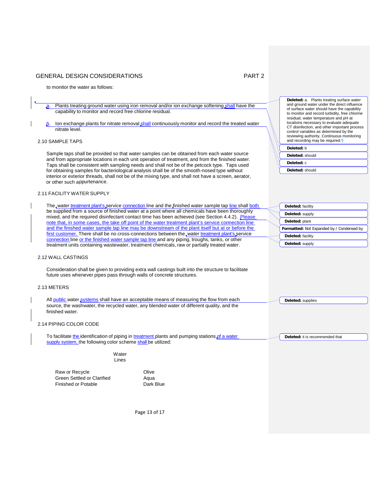to monitor the water as follows:

a. Plants treating ground water using iron removal and/or ion exchange softening shall have the capability to monitor and record free chlorine residual.

lon exchange plants for nitrate removal shall continuously monitor and record the treated water nitrate level.

# 2.10 SAMPLE TAPS

Sample taps shall be provided so that water samples can be obtained from each water source and from appropriate locations in each unit operation of treatment, and from the finished water. Taps shall be consistent with sampling needs and shall not be of the petcock type. Taps used for obtaining samples for bacteriological analysis shall be of the smooth-nosed type without interior or exterior threads, shall not be of the mixing type, and shall not have a screen, aerator, or other such appurtenance.

# 2.11 FACILITY WATER SUPPLY

The water treatment plant's service connection line and the finished water sample tap line shall both be supplied from a source of finished water at a point where all chemicals have been thoroughly mixed, and the required disinfectant contact time has been achieved (see Section 4.4.2). Please note that, in some cases, the take off point of the water treatment plant's service connection line and the finished water sample tap line may be downstream of the plant itself but at or before the first customer. There shall be no cross-connections between the water treatment plant's service connection line or the finished water sample tap line and any piping, troughs, tanks, or other treatment units containing wastewater, treatment chemicals, raw or partially treated water.

### 2.12 WALL CASTINGS

Consideration shall be given to providing extra wall castings built into the structure to facilitate future uses whenever pipes pass through walls of concrete structures.

#### 2.13 METERS

All public water systems shall have an acceptable means of measuring the flow from each source, the washwater, the recycled water, any blended water of different quality, and the finished water.

### 2.14 PIPING COLOR CODE

To facilitate the identification of piping in treatment plants and pumping stations of a water supply system, the following color scheme shall be utilized:

> Water Lines

Raw or Recycle **Contact Contact Act Olive** Olive Green Settled or Clarified<br>
Finished or Potable<br>
Dark Blue Finished or Potable

| Deleted: a. Plants treating surface water<br>and ground water under the direct influence<br>of surface water should have the capability<br>to monitor and record turbidity, free chlorine<br>residual, water temperature and pH at<br>locations necessary to evaluate adequate<br>CT disinfection, and other important process<br>control variables as determined by the<br>reviewing authority. Continuous monitoring<br>and recording may be required. |  |
|----------------------------------------------------------------------------------------------------------------------------------------------------------------------------------------------------------------------------------------------------------------------------------------------------------------------------------------------------------------------------------------------------------------------------------------------------------|--|
| Deleted: b                                                                                                                                                                                                                                                                                                                                                                                                                                               |  |
| Deleted: should                                                                                                                                                                                                                                                                                                                                                                                                                                          |  |
| Deleted: c                                                                                                                                                                                                                                                                                                                                                                                                                                               |  |
|                                                                                                                                                                                                                                                                                                                                                                                                                                                          |  |

**Deleted:** should

| Deleted: facility                         |
|-------------------------------------------|
| Deleted: supply                           |
| Deleted: plant                            |
| Formatted: Not Expanded by / Condensed by |
| Deleted: facility                         |
|                                           |

**Deleted:** supplies

**Deleted:** it is recommended that

Page 13 of 17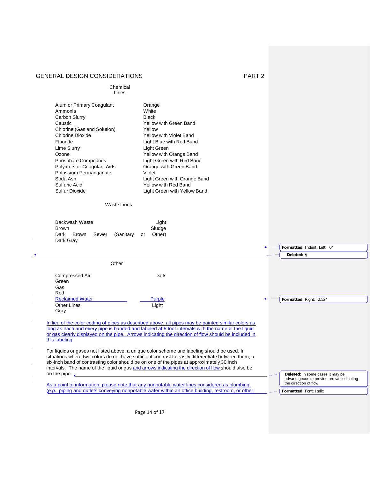$\mathsf I$ 

| Chemical<br>Lines                                                                                                                                                                                                                                                                                   |                                                                                                                                                                                                                                                                                                                                                                                                                                                                                                                                                                                                                     |                                                                                                        |
|-----------------------------------------------------------------------------------------------------------------------------------------------------------------------------------------------------------------------------------------------------------------------------------------------------|---------------------------------------------------------------------------------------------------------------------------------------------------------------------------------------------------------------------------------------------------------------------------------------------------------------------------------------------------------------------------------------------------------------------------------------------------------------------------------------------------------------------------------------------------------------------------------------------------------------------|--------------------------------------------------------------------------------------------------------|
| Alum or Primary Coagulant<br>Ammonia<br>Carbon Slurry<br>Caustic<br>Chlorine (Gas and Solution)<br><b>Chlorine Dioxide</b><br>Fluoride<br>Lime Slurry<br>Ozone<br>Phosphate Compounds<br><b>Polymers or Coagulant Aids</b><br>Potassium Permanganate<br>Soda Ash<br>Sulfuric Acid<br>Sulfur Dioxide | Orange<br>White<br><b>Black</b><br>Yellow with Green Band<br>Yellow<br><b>Yellow with Violet Band</b><br>Light Blue with Red Band<br>Light Green<br>Yellow with Orange Band<br>Light Green with Red Band<br>Orange with Green Band<br>Violet<br>Light Green with Orange Band<br>Yellow with Red Band<br>Light Green with Yellow Band                                                                                                                                                                                                                                                                                |                                                                                                        |
| <b>Waste Lines</b>                                                                                                                                                                                                                                                                                  |                                                                                                                                                                                                                                                                                                                                                                                                                                                                                                                                                                                                                     |                                                                                                        |
| Backwash Waste<br><b>Brown</b><br><b>Brown</b><br>Dark<br>Sewer<br>(Sanitary<br>Dark Gray                                                                                                                                                                                                           | Light<br>Sludge<br>Other)<br>or                                                                                                                                                                                                                                                                                                                                                                                                                                                                                                                                                                                     |                                                                                                        |
|                                                                                                                                                                                                                                                                                                     |                                                                                                                                                                                                                                                                                                                                                                                                                                                                                                                                                                                                                     | Formatted: Indent: Left: 0"                                                                            |
| Other                                                                                                                                                                                                                                                                                               |                                                                                                                                                                                                                                                                                                                                                                                                                                                                                                                                                                                                                     | Deleted: ¶                                                                                             |
| Compressed Air<br>Green<br>Gas<br>Red                                                                                                                                                                                                                                                               | Dark                                                                                                                                                                                                                                                                                                                                                                                                                                                                                                                                                                                                                |                                                                                                        |
| <b>Reclaimed Water</b>                                                                                                                                                                                                                                                                              | <b>Purple</b>                                                                                                                                                                                                                                                                                                                                                                                                                                                                                                                                                                                                       | Formatted: Right: 2.52"                                                                                |
| <b>Other Lines</b><br>Gray                                                                                                                                                                                                                                                                          | Light                                                                                                                                                                                                                                                                                                                                                                                                                                                                                                                                                                                                               |                                                                                                        |
| this labeling.                                                                                                                                                                                                                                                                                      | In lieu of the color coding of pipes as described above, all pipes may be painted similar colors as<br>long as each and every pipe is banded and labeled at 5 foot intervals with the name of the liquid<br>or gas clearly displayed on the pipe. Arrows indicating the direction of flow should be included in<br>For liquids or gases not listed above, a unique color scheme and labeling should be used. In<br>situations where two colors do not have sufficient contrast to easily differentiate between them, a<br>six-inch band of contrasting color should be on one of the pipes at approximately 30 inch |                                                                                                        |
| on the pipe. $\Box$                                                                                                                                                                                                                                                                                 | intervals. The name of the liquid or gas and arrows indicating the direction of flow should also be<br>As a point of information, please note that any nonpotable water lines considered as plumbing                                                                                                                                                                                                                                                                                                                                                                                                                | Deleted: In some cases it may be<br>advantageous to provide arrows indicating<br>the direction of flow |
|                                                                                                                                                                                                                                                                                                     | (e.g., piping and outlets conveying nonpotable water within an office building, restroom, or other                                                                                                                                                                                                                                                                                                                                                                                                                                                                                                                  | Formatted: Font: Italic                                                                                |

Page 14 of 17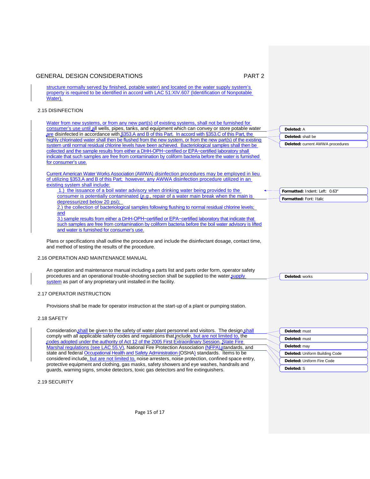**Deleted:** A **Deleted:** shall be

**Deleted:** current AWWA procedures

**Formatted:** Indent: Left: 0.63" **Formatted:** Font: Italic

**Deleted:** works

structure normally served by finished, potable water) and located on the water supply system's property is required to be identified in accord with LAC 51:XIV.607 (Identification of Nonpotable Water).

### 2.15 DISINFECTION

Water from new systems, or from any new part(s) of existing systems, shall not be furnished for consumer's use until all wells, pipes, tanks, and equipment which can convey or store potable water are disinfected in accordance with §353.A and B of this Part. In accord with §353.C of this Part, the highly chlorinated water shall then be flushed from the new system, or from the new part(s) of the existing system until normal residual chlorine levels have been achieved. Bacteriological samples shall then be collected and the sample results from either a DHH-OPH−certified or EPA−certified laboratory shall indicate that such samples are free from contamination by coliform bacteria before the water is furnished for consumer's use.

Current American Water Works Association (AWWA) disinfection procedures may be employed in lieu of utilizing §353.A and B of this Part; however, any AWWA disinfection procedure utilized in an existing system shall include:

1.) the issuance of a boil water advisory when drinking water being provided to the consumer is potentially contaminated (*e.g.*, repair of a water main break when the main is depressurized below 20 psi); 2.) the collection of bacteriological samples following flushing to normal residual chlorine levels;

and 3.) sample results from either a DHH-OPH−certified or EPA−certified laboratory that indicate that such samples are free from contamination by coliform bacteria before the boil water advisory is lifted

and water is furnished for consumer's use.

Plans or specifications shall outline the procedure and include the disinfectant dosage, contact time, and method of testing the results of the procedure.

#### 2.16 OPERATION AND MAINTENANCE MANUAL

An operation and maintenance manual including a parts list and parts order form, operator safety procedures and an operational trouble-shooting section shall be supplied to the water supply system as part of any proprietary unit installed in the facility.

#### 2.17 OPERATOR INSTRUCTION

Provisions shall be made for operator instruction at the start-up of a plant or pumping station.

### 2.18 SAFETY

Consideration shall be given to the safety of water plant personnel and visitors. The design shall comply with all applicable safety codes and regulations that include, but are not limited to, the codes adopted under the authority of Act 12 of the 2005 First Extraordinary Session, State Fire Marshal regulations (see LAC 55.V), National Fire Protection Association (NFPA) standards, and state and federal Occupational Health and Safety Administration (OSHA) standards. Items to be considered include, but are not limited to, noise arresters, noise protection, confined space entry, protective equipment and clothing, gas masks, safety showers and eye washes, handrails and guards, warning signs, smoke detectors, toxic gas detectors and fire extinguishers.

**Deleted:** must **Deleted:** must **Deleted:** may **Deleted:** Uniform Building Code **Deleted:** Uniform Fire Code **Deleted:** S

2.19 SECURITY

Page 15 of 17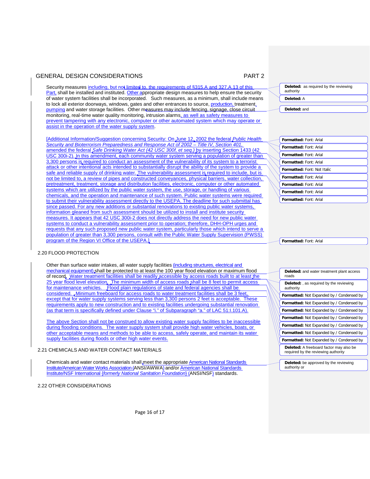Security measures including, but not limited to. the requirements of §315.A and 327.A.13 of this Part, shall be installed and instituted. Other appropriate design measures to help ensure the security of water system facilities shall be incorporated. Such measures, as a minimum, shall include means to lock all exterior doorways, windows, gates and other entrances to source, production, treatment, pumping and water storage facilities. Other measures may include fencing, signage, close circuit monitoring, real-time water quality monitoring, intrusion alarms, as well as safety measures to prevent tampering with any electronic, computer or other automated system which may operate or assist in the operation of the water supply system.

[Additional Information/Suggestion concerning Security: On June 12, 2002 the federal *Public Health Security and Bioterrorism Preparedness and Response Act of 2002 – Title IV, Section 401*, amended the federal *Safe Drinking Water Act (42 USC 300f, et seq.)* by inserting Section 1433 (42 USC 300i-2). In this amendment, each community water system serving a population of greater than 3,300 persons is required to conduct an assessment of the vulnerability of its system to a terrorist attack or other intentional acts intended to substantially disrupt the ability of the system to provide a safe and reliable supply of drinking water. The vulnerability assessment is required to include, but is not be limited to, a review of pipes and constructed conveyances, physical barriers, water collection, pretreatment, treatment, storage and distribution facilities, electronic, computer or other automated systems which are utilized by the public water system, the use, storage, or handling of various chemicals, and the operation and maintenance of such system. Public water systems were required to submit their vulnerability assessment directly to the USEPA. The deadline for such submittal has since passed. For any new additions or substantial renovations to existing public water systems information gleaned from such assessment should be utilized to install and institute security measures. It appears that 42 USC 300i-2 does not directly address the need for new public water systems to conduct a vulnerability assessment prior to operation; therefore, DHH-OPH urges and requests that any such proposed new public water system, particularly those which intend to serve a population of greater than 3,300 persons, consult with the Public Water Supply Supervision (PWSS) program of the Region VI Office of the USEPA.]

### 2.20 FLOOD PROTECTION

Other than surface water intakes, all water supply facilities (including structures, electrical and mechanical equipment) shall be protected to at least the 100 year flood elevation or maximum flood of record. Water treatment facilities shall be readily accessible by access roads built to at least the 25 year flood level elevation. The minimum width of access roads shall be 8 feet to permit access for maintenance vehicles. Flood plain regulations of state and federal agencies shall be considered. . Minimum freeboard for access roads to water treatment facilities shall be 3 fee except that for water supply systems serving less than 3,300 persons 2 feet is acceptable. These requirements apply to new construction and to existing facilities undergoing substantial renovation (as that term is specifically defined under Clause "i." of Subparagraph "a." of LAC 51:I.101.A).

The above Section shall not be construed to allow existing water supply facilities to be inaccessible during flooding conditions. The water supply system shall provide high water vehicles, boats, or other acceptable means and methods to be able to access, safely operate, and maintain its water supply facilities during floods or other high water events.

## 2.21 CHEMICALS AND WATER CONTACT MATERIALS

Chemicals and water contact materials shall meet the appropriate American National Standards Institute/American Water Works Association (ANSI/AWWA) and/or American National Standards Institute/NSF International {*formerly National Sanitation Foundation*} (ANSI/NSF) standards.

2.22 OTHER CONSIDERATIONS



**Deleted:** and

**Formatted:** Font: Arial **Formatted:** Font: Arial **Formatted:** Font: Arial **Formatted:** Font: Arial **Formatted:** Font: Not Italic **Formatted:** Font: Arial **Formatted:** Font: Arial **Formatted:** Font: Arial **Formatted:** Font: Arial

**Formatted:** Font: Arial

| <b>Deleted:</b> and water treatment plant access<br>roads                      |  |  |
|--------------------------------------------------------------------------------|--|--|
| <b>Deleted:</b> , as required by the reviewing<br>authority                    |  |  |
| <b>Formatted:</b> Not Expanded by / Condensed by                               |  |  |
| <b>Formatted:</b> Not Expanded by / Condensed by                               |  |  |
| <b>Formatted:</b> Not Expanded by / Condensed by                               |  |  |
| Formatted: Not Expanded by / Condensed by                                      |  |  |
| <b>Formatted:</b> Not Expanded by / Condensed by                               |  |  |
| <b>Formatted:</b> Not Expanded by / Condensed by                               |  |  |
| <b>Formatted:</b> Not Expanded by / Condensed by                               |  |  |
| Deleted: A freeboard factor may also be<br>required by the reviewing authority |  |  |
|                                                                                |  |  |
| Deleted: be approved by the reviewing<br>authority or                          |  |  |

Page 16 of 17